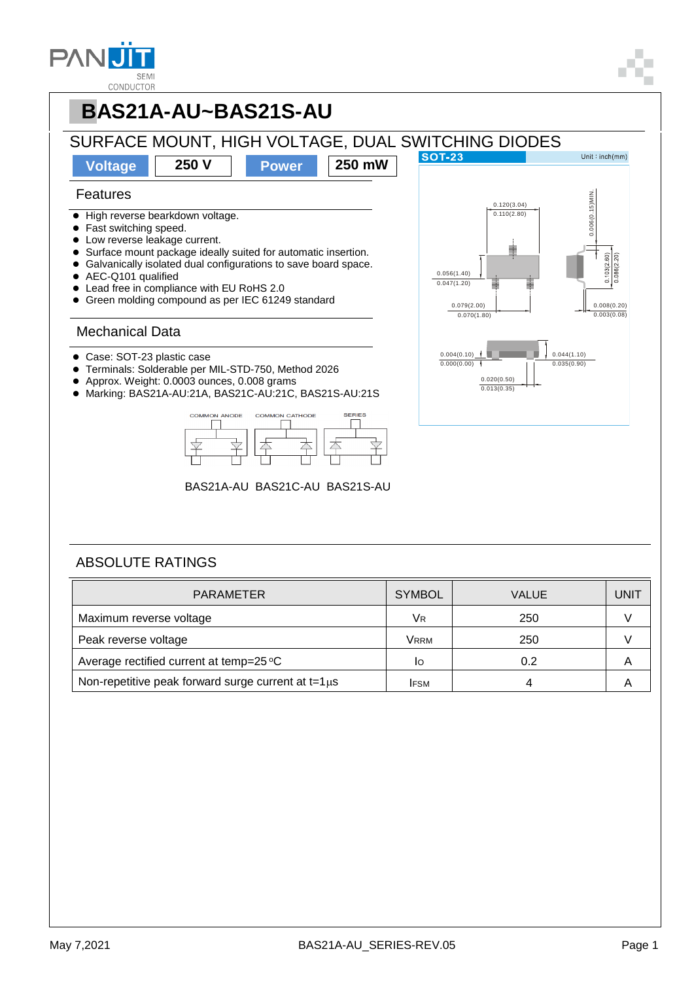



### ABSOLUTE RATINGS

| <b>PARAMETER</b>                                         | <b>SYMBOL</b> | <b>VALUE</b> | <b>UNIT</b> |
|----------------------------------------------------------|---------------|--------------|-------------|
| Maximum reverse voltage                                  | VR            | 250          |             |
| Peak reverse voltage                                     | Vrrm          | 250          |             |
| Average rectified current at temp=25 °C                  | IО            | 0.2          | A           |
| Non-repetitive peak forward surge current at $t=1 \mu s$ | <b>IFSM</b>   |              |             |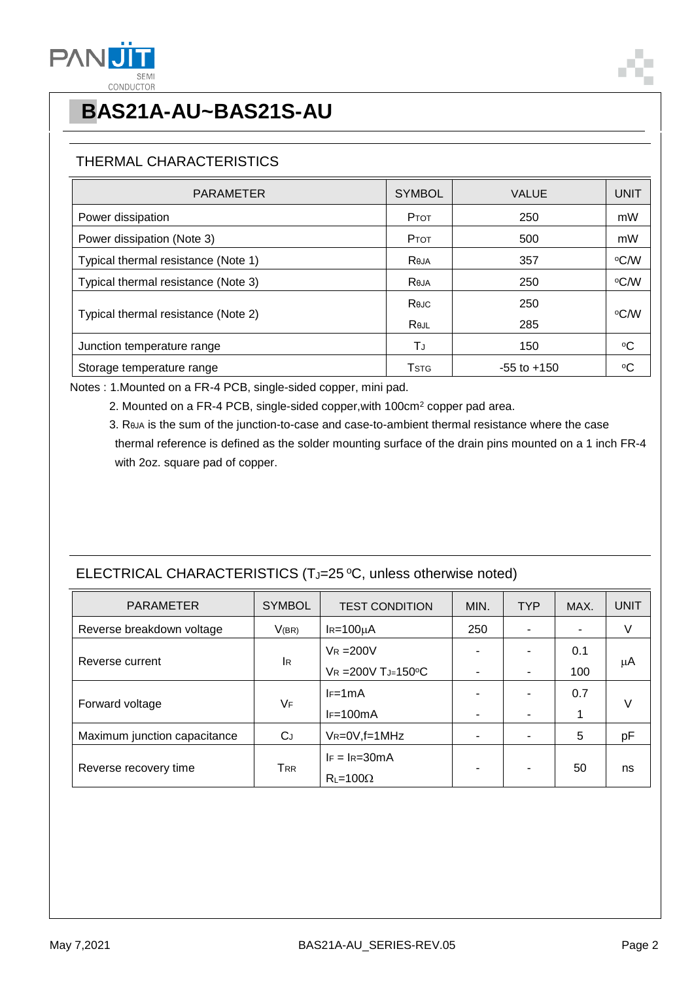

## THERMAL CHARACTERISTICS

| <b>PARAMETER</b>                    | <b>SYMBOL</b> | <b>VALUE</b>    | <b>UNIT</b> |  |
|-------------------------------------|---------------|-----------------|-------------|--|
| Power dissipation                   | PTOT          | 250             | mW          |  |
| Power dissipation (Note 3)          | PTOT          | 500             | mW          |  |
| Typical thermal resistance (Note 1) | Reja          | 357             | °C∕W        |  |
| Typical thermal resistance (Note 3) | Reja          | 250             | °C⁄W        |  |
|                                     | Rejc          | 250             |             |  |
| Typical thermal resistance (Note 2) | Rejl          | 285             | ∘C⁄W        |  |
| Junction temperature range          | ΤJ            | 150             | °C          |  |
| Storage temperature range           | <b>T</b> stg  | $-55$ to $+150$ | $\rm ^{o}C$ |  |

Notes : 1.Mounted on a FR-4 PCB, single-sided copper, mini pad.

- 2. Mounted on a FR-4 PCB, single-sided copper,with 100cm<sup>2</sup> copper pad area.
- 3. RθJA is the sum of the junction-to-case and case-to-ambient thermal resistance where the case thermal reference is defined as the solder mounting surface of the drain pins mounted on a 1 inch FR-4 with 2oz. square pad of copper.

## ELECTRICAL CHARACTERISTICS (TJ=25 °C, unless otherwise noted)

| <b>PARAMETER</b>             | <b>SYMBOL</b> | <b>TEST CONDITION</b>    | MIN.           | <b>TYP</b> | MAX. | <b>UNIT</b> |
|------------------------------|---------------|--------------------------|----------------|------------|------|-------------|
| Reverse breakdown voltage    | V(BR)         | $I_R = 100 \mu A$        | 250            |            |      | V           |
| Reverse current              | lR.           | $V_R = 200V$             | -              |            | 0.1  | μA          |
|                              |               | $V_R = 200V T_J = 150°C$ | ۰              |            | 100  |             |
| Forward voltage              | VF            | $I = 1mA$                | $\blacksquare$ |            | 0.7  | V           |
|                              |               | $IF=100mA$               | $\blacksquare$ |            | 1    |             |
| Maximum junction capacitance | $C_J$         | $V_R = 0V$ , f = 1 MHz   | ۰              |            | 5    | pF          |
| Reverse recovery time        | ${\sf T}$ RR  | $IF = IR = 30mA$         | ٠              |            | 50   | ns          |
|                              |               | $R_{L} = 100\Omega$      |                |            |      |             |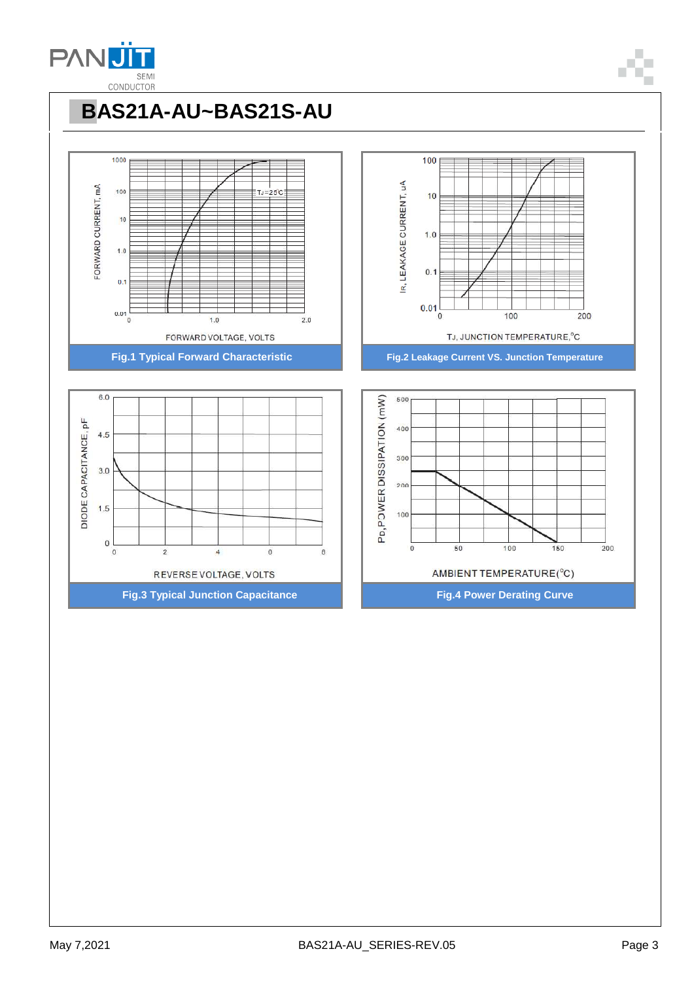

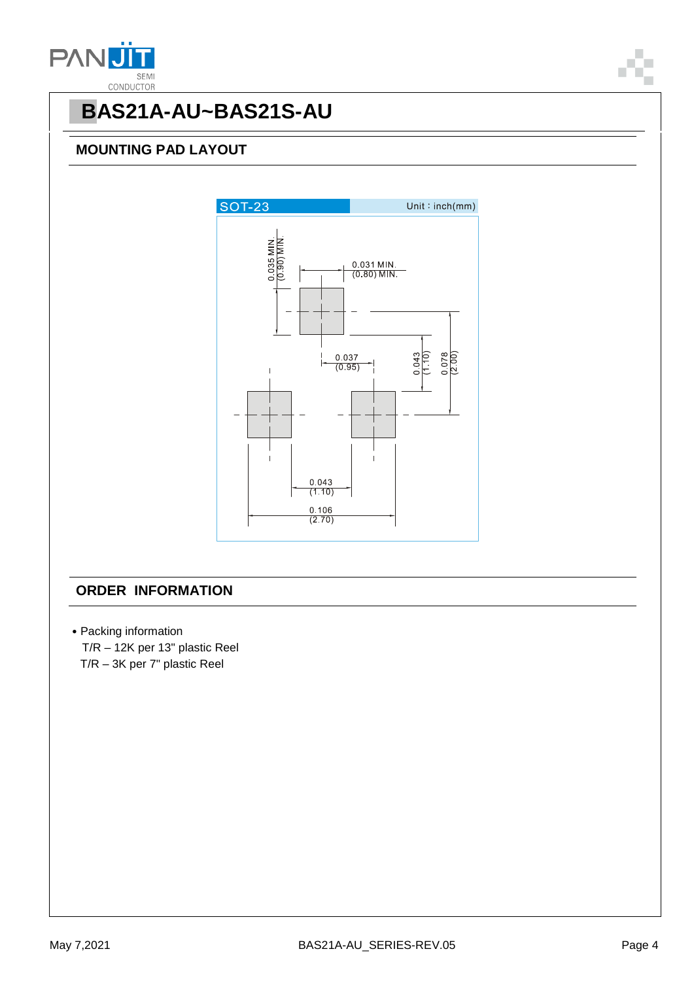

### **MOUNTING PAD LAYOUT**



### **ORDER INFORMATION**

˙Packing information T/R – 12K per 13" plastic Reel T/R – 3K per 7" plastic Reel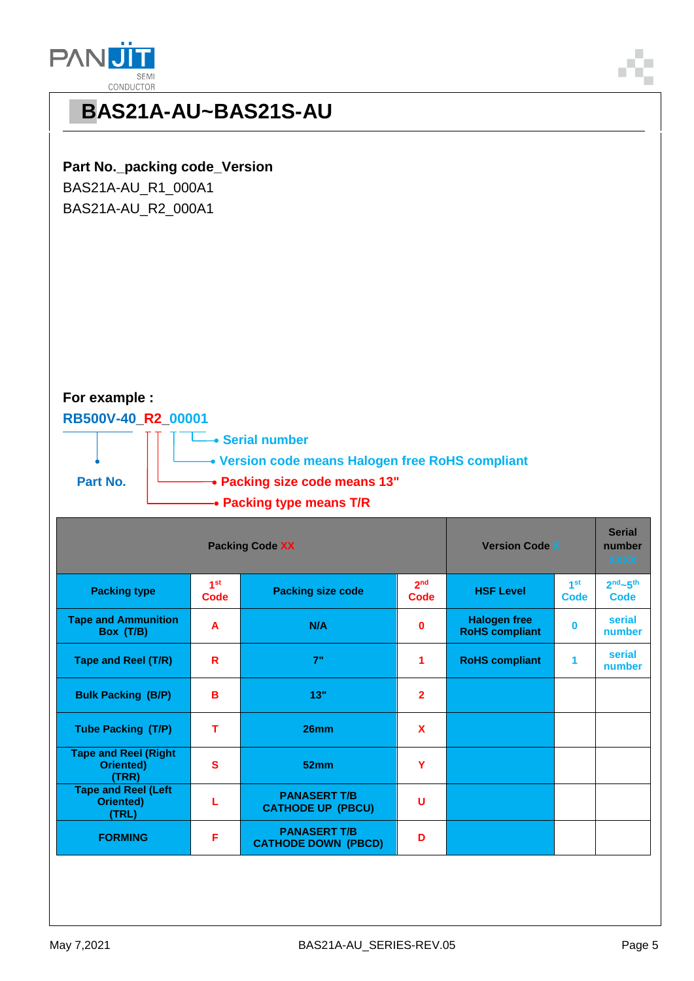

### **Part No.\_packing code\_Version**

BAS21A-AU\_R1\_000A1 BAS21A-AU\_R2\_000A1

### **For example :**

#### **RB500V-40\_R2\_00001**



| <b>Packing Code XX</b>                                   |                         |                                                   | <b>Version Code X</b>                       |                                              | <b>Serial</b><br>number<br><b>XXXX</b> |                     |
|----------------------------------------------------------|-------------------------|---------------------------------------------------|---------------------------------------------|----------------------------------------------|----------------------------------------|---------------------|
| <b>Packing type</b>                                      | 1 <sup>st</sup><br>Code | <b>Packing size code</b>                          | 2 <sub>nd</sub><br><b>HSF Level</b><br>Code |                                              | 1 <sup>st</sup><br>Code                | $2nd - 5th$<br>Code |
| <b>Tape and Ammunition</b><br>Box (T/B)                  | A                       | N/A                                               | $\mathbf{0}$                                | <b>Halogen free</b><br><b>RoHS compliant</b> | O                                      | serial<br>number    |
| <b>Tape and Reel (T/R)</b>                               | R                       | 7"                                                | 1                                           | <b>RoHS compliant</b>                        | 1                                      | serial<br>number    |
| <b>Bulk Packing (B/P)</b>                                | в                       | 13"                                               | $\mathbf{2}$                                |                                              |                                        |                     |
| <b>Tube Packing (T/P)</b>                                | т                       | 26mm                                              | $\mathbf x$                                 |                                              |                                        |                     |
| <b>Tape and Reel (Right</b><br><b>Oriented)</b><br>(TRR) | S                       | 52mm                                              | Y                                           |                                              |                                        |                     |
| <b>Tape and Reel (Left</b><br><b>Oriented)</b><br>(TRL)  |                         | <b>PANASERT T/B</b><br><b>CATHODE UP (PBCU)</b>   | U                                           |                                              |                                        |                     |
| <b>FORMING</b>                                           | F                       | <b>PANASERT T/B</b><br><b>CATHODE DOWN (PBCD)</b> | D                                           |                                              |                                        |                     |